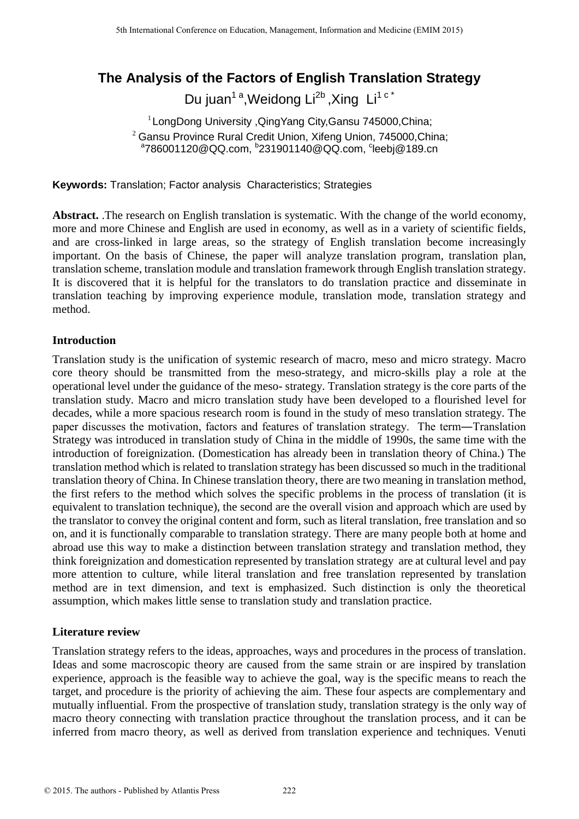# **The Analysis of the Factors of English Translation Strategy**

Du juan<sup>1 a</sup>, Weidong Li<sup>2b</sup>, Xing Li<sup>1 c\*</sup>

1 LongDong University ,QingYang City,Gansu 745000,China;  $^{2}$  Gansu Province Rural Credit Union, Xifeng Union, 745000,China; <sup>a</sup>786001120@QQ.com, <sup>b</sup>231901140@QQ.com, <sup>c</sup>leebj@189.cn

**Keywords:** Translation; Factor analysis Characteristics; Strategies

**Abstract.** .The research on English translation is systematic. With the change of the world economy, more and more Chinese and English are used in economy, as well as in a variety of scientific fields, and are cross-linked in large areas, so the strategy of English translation become increasingly important. On the basis of Chinese, the paper will analyze translation program, translation plan, translation scheme, translation module and translation framework through English translation strategy. It is discovered that it is helpful for the translators to do translation practice and disseminate in translation teaching by improving experience module, translation mode, translation strategy and method.

## **Introduction**

Translation study is the unification of systemic research of macro, meso and micro strategy. Macro core theory should be transmitted from the meso-strategy, and micro-skills play a role at the operational level under the guidance of the meso- strategy. Translation strategy is the core parts of the translation study. Macro and micro translation study have been developed to a flourished level for decades, while a more spacious research room is found in the study of meso translation strategy. The paper discusses the motivation, factors and features of translation strategy. The term―Translation Strategy was introduced in translation study of China in the middle of 1990s, the same time with the introduction of foreignization. (Domestication has already been in translation theory of China.) The translation method which is related to translation strategy has been discussed so much in the traditional translation theory of China. In Chinese translation theory, there are two meaning in translation method, the first refers to the method which solves the specific problems in the process of translation (it is equivalent to translation technique), the second are the overall vision and approach which are used by the translator to convey the original content and form, such as literal translation, free translation and so on, and it is functionally comparable to translation strategy. There are many people both at home and abroad use this way to make a distinction between translation strategy and translation method, they think foreignization and domestication represented by translation strategy are at cultural level and pay more attention to culture, while literal translation and free translation represented by translation method are in text dimension, and text is emphasized. Such distinction is only the theoretical assumption, which makes little sense to translation study and translation practice.

## **Literature review**

Translation strategy refers to the ideas, approaches, ways and procedures in the process of translation. Ideas and some macroscopic theory are caused from the same strain or are inspired by translation experience, approach is the feasible way to achieve the goal, way is the specific means to reach the target, and procedure is the priority of achieving the aim. These four aspects are complementary and mutually influential. From the prospective of translation study, translation strategy is the only way of macro theory connecting with translation practice throughout the translation process, and it can be inferred from macro theory, as well as derived from translation experience and techniques. Venuti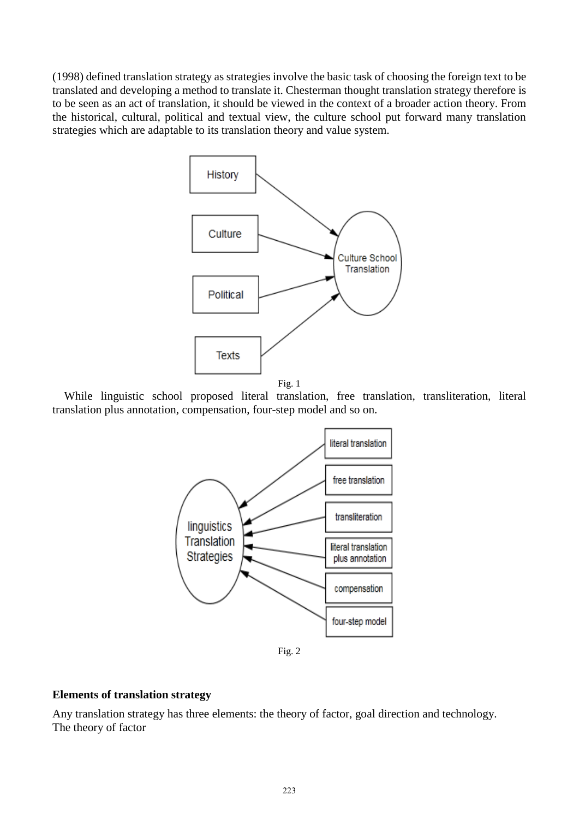(1998) defined translation strategy as strategies involve the basic task of choosing the foreign text to be translated and developing a method to translate it. Chesterman thought translation strategy therefore is to be seen as an act of translation, it should be viewed in the context of a broader action theory. From the historical, cultural, political and textual view, the culture school put forward many translation strategies which are adaptable to its translation theory and value system.





 While linguistic school proposed literal translation, free translation, transliteration, literal translation plus annotation, compensation, four-step model and so on.



Fig. 2

# **Elements of translation strategy**

Any translation strategy has three elements: the theory of factor, goal direction and technology. The theory of factor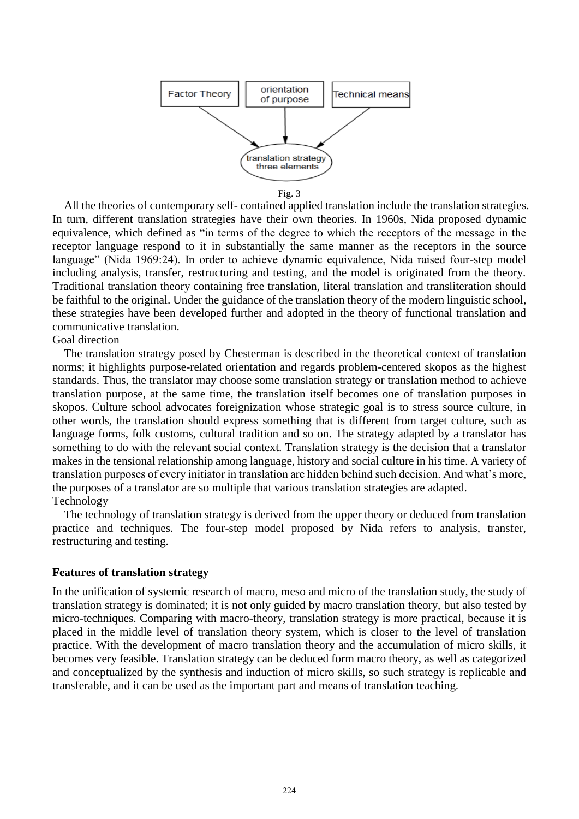

Fig. 3

 All the theories of contemporary self- contained applied translation include the translation strategies. In turn, different translation strategies have their own theories. In 1960s, Nida proposed dynamic equivalence, which defined as "in terms of the degree to which the receptors of the message in the receptor language respond to it in substantially the same manner as the receptors in the source language" (Nida 1969:24). In order to achieve dynamic equivalence, Nida raised four-step model including analysis, transfer, restructuring and testing, and the model is originated from the theory. Traditional translation theory containing free translation, literal translation and transliteration should be faithful to the original. Under the guidance of the translation theory of the modern linguistic school, these strategies have been developed further and adopted in the theory of functional translation and communicative translation.

#### Goal direction

 The translation strategy posed by Chesterman is described in the theoretical context of translation norms; it highlights purpose-related orientation and regards problem-centered skopos as the highest standards. Thus, the translator may choose some translation strategy or translation method to achieve translation purpose, at the same time, the translation itself becomes one of translation purposes in skopos. Culture school advocates foreignization whose strategic goal is to stress source culture, in other words, the translation should express something that is different from target culture, such as language forms, folk customs, cultural tradition and so on. The strategy adapted by a translator has something to do with the relevant social context. Translation strategy is the decision that a translator makes in the tensional relationship among language, history and social culture in his time. A variety of translation purposes of every initiator in translation are hidden behind such decision. And what's more, the purposes of a translator are so multiple that various translation strategies are adapted. Technology

 The technology of translation strategy is derived from the upper theory or deduced from translation practice and techniques. The four-step model proposed by Nida refers to analysis, transfer, restructuring and testing.

#### **Features of translation strategy**

In the unification of systemic research of macro, meso and micro of the translation study, the study of translation strategy is dominated; it is not only guided by macro translation theory, but also tested by micro-techniques. Comparing with macro-theory, translation strategy is more practical, because it is placed in the middle level of translation theory system, which is closer to the level of translation practice. With the development of macro translation theory and the accumulation of micro skills, it becomes very feasible. Translation strategy can be deduced form macro theory, as well as categorized and conceptualized by the synthesis and induction of micro skills, so such strategy is replicable and transferable, and it can be used as the important part and means of translation teaching.